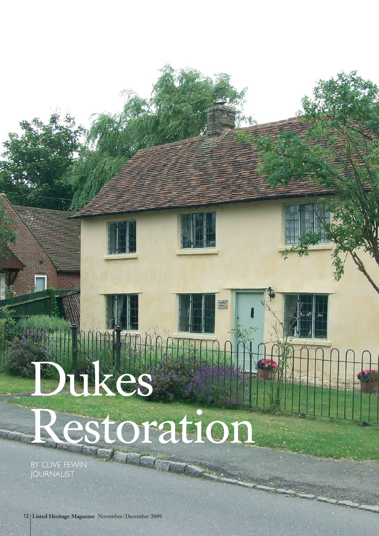## Dukes Restoration

画

BY CLIVE FEWIN JOURNALIST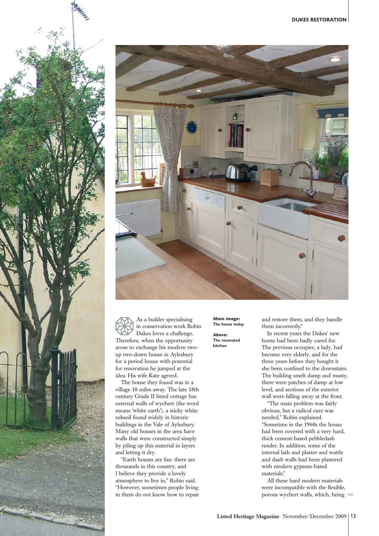



As a builder specialising in conservation work Robin Dukes loves a challenge. Therefore, when the opportunity arose to exchange his modern twoup two-down house in Aylesbury for a period house with potential for renovation he jumped at the idea. His wife Kate agreed.

The house they found was in a village 10 miles away. The late 18th century Grade II listed cottage has external walls of wychert (the word means 'white earth'), a sticky white subsoil found widely in historic buildings in the Vale of Aylesbury. Many old houses in the area have walls that were constructed simply by piling up this material in layers and letting it dry.

"Earth houses are fun: there are thousands in this country, and I believe they provide a lovely atmosphere to live in," Robin said. "However, sometimes people living in them do not know how to repair *Main image:* **The house today**

*Above:* **The renovated kitchen**

and restore them, and they handle them incorrectly."

In recent years the Dukes' new home had been badly cared for. The previous occupier, a lady, had become very elderly, and for the three years before they bought it she been confined to the downstairs. The building smelt damp and musty, there were patches of damp at low level, and sections of the exterior wall were falling away at the front.

"The main problem was fairly obvious, but a radical cure was needed," Robin explained. "Sometime in the 1960s the house had been covered with a very hard, thick cement-based pebbledash render. In addition, some of the internal lath and plaster and wattle and daub walls had been plastered with modern gypsum-based materials."

All these hard modern materials were incompatible with the flexible, porous wychert walls, which, being  $\implies$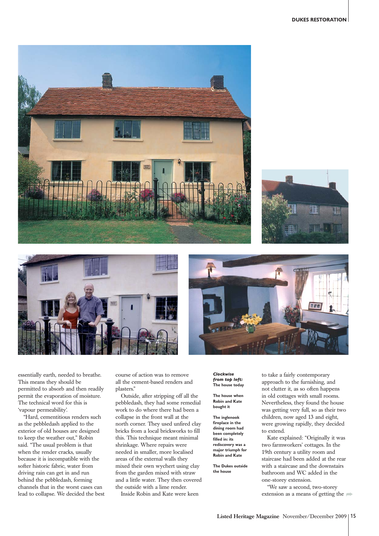







essentially earth, needed to breathe. This means they should be permitted to absorb and then readily permit the evaporation of moisture. The technical word for this is 'vapour permeability'.

"Hard, cementitious renders such as the pebbledash applied to the exterior of old houses are designed to keep the weather out," Robin said. "The usual problem is that when the render cracks, usually because it is incompatible with the softer historic fabric, water from driving rain can get in and run behind the pebbledash, forming channels that in the worst cases can lead to collapse. We decided the best course of action was to remove all the cement-based renders and plasters."

Outside, after stripping off all the pebbledash, they had some remedial work to do where there had been a collapse in the front wall at the north corner. They used unfired clay bricks from a local brickworks to fill this. This technique meant minimal shrinkage. Where repairs were needed in smaller, more localised areas of the external walls they mixed their own wychert using clay from the garden mixed with straw and a little water. They then covered the outside with a lime render. Inside Robin and Kate were keen

*Clockwise from top left:* **The house today**

**The house when Robin and Kate bought it**

**The inglenook fireplace in the dining room had been completely filled in: its rediscovery was a major triumph for Robin and Kate**

**The Dukes outside the house**

to take a fairly contemporary approach to the furnishing, and not clutter it, as so often happens in old cottages with small rooms. Nevertheless, they found the house was getting very full, so as their two children, now aged 13 and eight, were growing rapidly, they decided to extend.

Kate explained: "Originally it was two farmworkers' cottages. In the 19th century a utility room and staircase had been added at the rear with a staircase and the downstairs bathroom and WC added in the one-storey extension.

"We saw a second, two-storey extension as a means of getting the  $\Rightarrow$